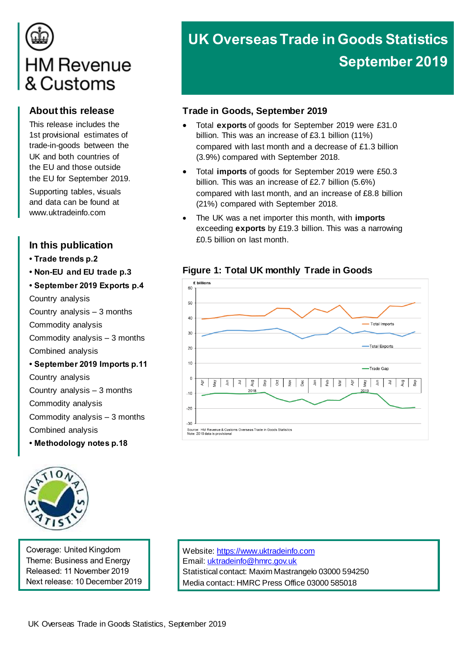# **HM Revenue** & Customs

### **About this release**

This release includes the 1st provisional estimates of trade-in-goods between the UK and both countries of the EU and those outside the EU for September 2019. Supporting tables, visuals and data can be found at [www.uktradeinfo.com](http://www.uktradeinfo.com/)

### **In this publication**

- **Trade trends p.2**
- **Non-EU and EU trade p.3**

#### **• September 2019 Exports p.4**

Country analysis

- Country analysis 3 months
- Commodity analysis
- Commodity analysis 3 months

Combined analysis

#### **• September 2019 Imports p.11**

Country analysis Country analysis – 3 months Commodity analysis Commodity analysis – 3 months Combined analysis

**• Methodology notes p.18**



Coverage: United Kingdom Theme: Business and Energy Released: 11 November 2019 Next release: 10 December 2019 Website[: https://www.uktradeinfo.com](https://www.uktradeinfo.com/) Email[: uktradeinfo@hmrc.gov.uk](mailto:uktradeinfo@hmrc.gov.uk) Statistical contact: Maxim Mastrangelo 03000 594250 Media contact: HMRC Press Office 03000 585018

# **UK Overseas Trade in Goods Statistics September 2019**

### **Trade in Goods, September 2019**

- Total **exports** of goods for September 2019 were £31.0 billion. This was an increase of £3.1 billion (11%) compared with last month and a decrease of £1.3 billion (3.9%) compared with September 2018.
- Total **imports** of goods for September 2019 were £50.3 billion. This was an increase of £2.7 billion (5.6%) compared with last month, and an increase of £8.8 billion (21%) compared with September 2018.
- The UK was a net importer this month, with **imports** exceeding **exports** by £19.3 billion. This was a narrowing £0.5 billion on last month.



### **Figure 1: Total UK monthly Trade in Goods**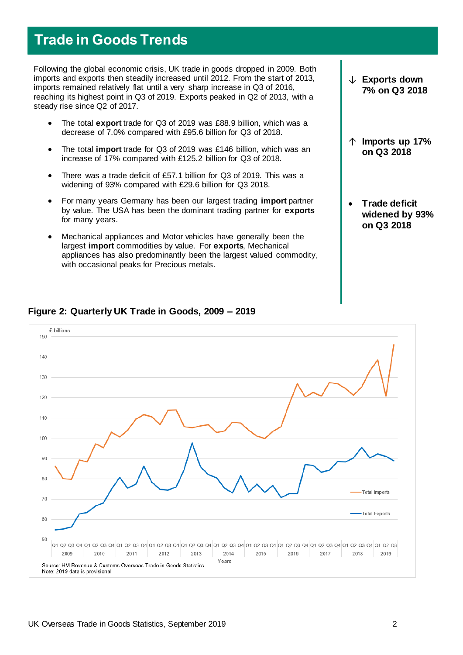### **Trade in Goods Trends**

Following the global economic crisis, UK trade in goods dropped in 2009. Both imports and exports then steadily increased until 2012. From the start of 2013, imports remained relatively flat until a very sharp increase in Q3 of 2016, reaching its highest point in Q3 of 2019. Exports peaked in Q2 of 2013, with a steady rise since Q2 of 2017.

- The total **export** trade for Q3 of 2019 was £88.9 billion, which was a decrease of 7.0% compared with £95.6 billion for Q3 of 2018.
- The total **import** trade for Q3 of 2019 was £146 billion, which was an increase of 17% compared with £125.2 billion for Q3 of 2018.
- There was a trade deficit of £57.1 billion for Q3 of 2019. This was a widening of 93% compared with £29.6 billion for Q3 2018.
- For many years Germany has been our largest trading **import** partner by value. The USA has been the dominant trading partner for **exports** for many years.
- Mechanical appliances and Motor vehicles have generally been the largest **import** commodities by value. For **exports**, Mechanical appliances has also predominantly been the largest valued commodity, with occasional peaks for Precious metals.

↓ **Exports down 7% on Q3 2018**

- ↑ **Imports up 17% on Q3 2018**
- **Trade deficit widened by 93% on Q3 2018**



### **Figure 2: Quarterly UK Trade in Goods, 2009 – 2019**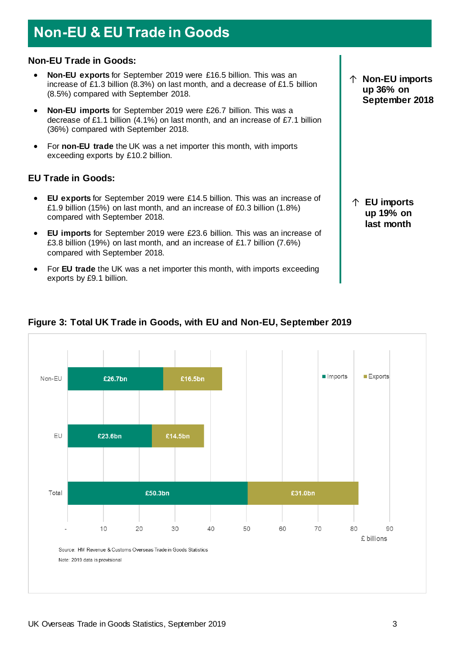# **Non-EU & EU Trade in Goods**

#### **Non-EU Trade in Goods:**

- **Non-EU exports** for September 2019 were £16.5 billion. This was an increase of £1.3 billion (8.3%) on last month, and a decrease of £1.5 billion (8.5%) compared with September 2018.
- **Non-EU imports** for September 2019 were £26.7 billion. This was a decrease of £1.1 billion (4.1%) on last month, and an increase of £7.1 billion (36%) compared with September 2018.
- For **non-EU trade** the UK was a net importer this month, with imports exceeding exports by £10.2 billion.

#### **EU Trade in Goods:**

- **EU exports** for September 2019 were £14.5 billion. This was an increase of £1.9 billion (15%) on last month, and an increase of £0.3 billion (1.8%) compared with September 2018.
- **EU imports** for September 2019 were £23.6 billion. This was an increase of £3.8 billion (19%) on last month, and an increase of £1.7 billion (7.6%) compared with September 2018.
- For **EU trade** the UK was a net importer this month, with imports exceeding exports by £9.1 billion.



### **Figure 3: Total UK Trade in Goods, with EU and Non-EU, September 2019**

↑ **Non-EU imports up 36% on September 2018**

↑ **EU imports up 19% on last month**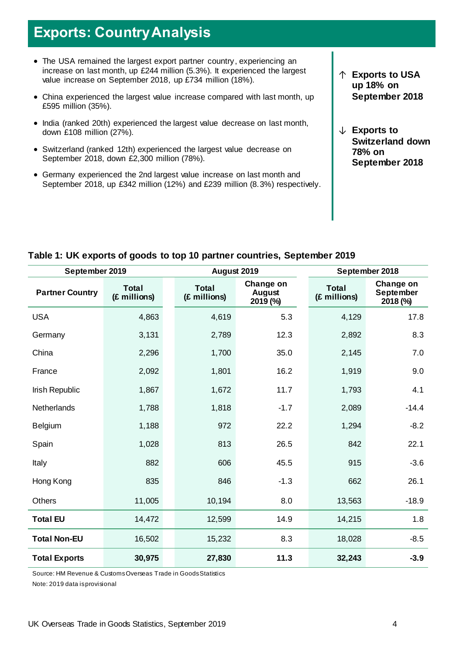# **Exports: Country Analysis**

- The USA remained the largest export partner country, experiencing an increase on last month, up £244 million (5.3%). It experienced the largest value increase on September 2018, up £734 million (18%).
- China experienced the largest value increase compared with last month, up £595 million (35%).
- India (ranked 20th) experienced the largest value decrease on last month, down £108 million (27%).
- Switzerland (ranked 12th) experienced the largest value decrease on September 2018, down £2,300 million (78%).
- Germany experienced the 2nd largest value increase on last month and September 2018, up £342 million (12%) and £239 million (8.3%) respectively.
- ↑ **Exports to USA up 18% on September 2018**
- ↓ **Exports to Switzerland down 78% on September 2018**

| September 2019         |                              |  | August 2019                  |                                        | September 2018               |                                           |  |
|------------------------|------------------------------|--|------------------------------|----------------------------------------|------------------------------|-------------------------------------------|--|
| <b>Partner Country</b> | <b>Total</b><br>(£ millions) |  | <b>Total</b><br>(£ millions) | Change on<br><b>August</b><br>2019 (%) | <b>Total</b><br>(£ millions) | Change on<br><b>September</b><br>2018 (%) |  |
| <b>USA</b>             | 4,863                        |  | 4,619                        | 5.3                                    | 4,129                        | 17.8                                      |  |
| Germany                | 3,131                        |  | 2,789                        | 12.3                                   | 2,892                        | 8.3                                       |  |
| China                  | 2,296                        |  | 1,700                        | 35.0                                   | 2,145                        | 7.0                                       |  |
| France                 | 2,092                        |  | 1,801                        | 16.2                                   | 1,919                        | 9.0                                       |  |
| Irish Republic         | 1,867                        |  | 1,672                        | 11.7                                   | 1,793                        | 4.1                                       |  |
| <b>Netherlands</b>     | 1,788                        |  | 1,818                        | $-1.7$                                 | 2,089                        | $-14.4$                                   |  |
| <b>Belgium</b>         | 1,188                        |  | 972                          | 22.2                                   | 1,294                        | $-8.2$                                    |  |
| Spain                  | 1,028                        |  | 813                          | 26.5                                   | 842                          | 22.1                                      |  |
| Italy                  | 882                          |  | 606                          | 45.5                                   | 915                          | $-3.6$                                    |  |
| Hong Kong              | 835                          |  | 846                          | $-1.3$                                 | 662                          | 26.1                                      |  |
| <b>Others</b>          | 11,005                       |  | 10,194                       | 8.0                                    | 13,563                       | $-18.9$                                   |  |
| <b>Total EU</b>        | 14,472                       |  | 12,599                       | 14.9                                   | 14,215                       | 1.8                                       |  |
| <b>Total Non-EU</b>    | 16,502                       |  | 15,232                       | 8.3                                    | 18,028                       | $-8.5$                                    |  |
| <b>Total Exports</b>   | 30,975                       |  | 27,830                       | 11.3                                   | 32,243                       | $-3.9$                                    |  |

#### **Table 1: UK exports of goods to top 10 partner countries, September 2019**

Source: HM Revenue & Customs Overseas Trade in Goods Statistics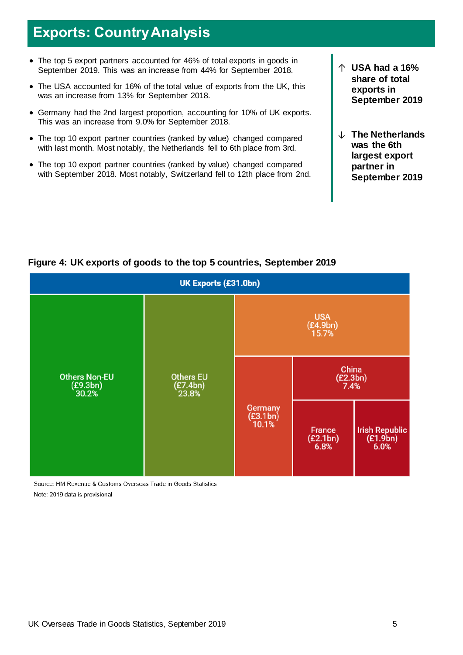## **Exports: Country Analysis**

- The top 5 export partners accounted for 46% of total exports in goods in September 2019. This was an increase from 44% for September 2018.
- The USA accounted for 16% of the total value of exports from the UK, this was an increase from 13% for September 2018.
- Germany had the 2nd largest proportion, accounting for 10% of UK exports. This was an increase from 9.0% for September 2018.
- The top 10 export partner countries (ranked by value) changed compared with last month. Most notably, the Netherlands fell to 6th place from 3rd.
- The top 10 export partner countries (ranked by value) changed compared with September 2018. Most notably, Switzerland fell to 12th place from 2nd.
- ↑ **USA had a 16% share of total exports in September 2019**
- ↓ **The Netherlands was the 6th largest export partner in September 2019**



### **Figure 4: UK exports of goods to the top 5 countries, September 2019**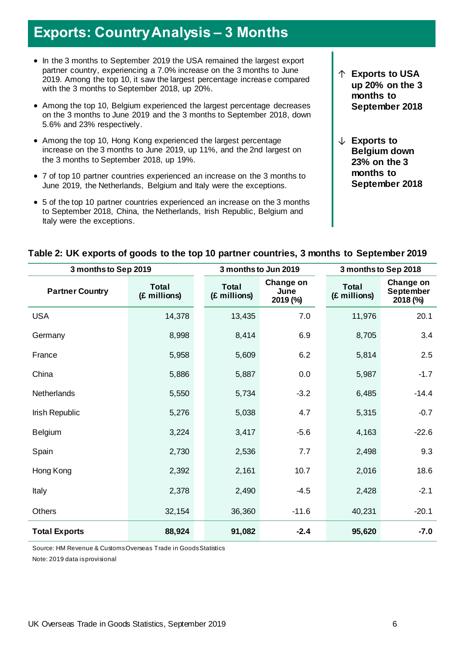## **Exports: Country Analysis – 3 Months**

- In the 3 months to September 2019 the USA remained the largest export partner country, experiencing a 7.0% increase on the 3 months to June 2019. Among the top 10, it saw the largest percentage increase compared with the 3 months to September 2018, up 20%.
- Among the top 10, Belgium experienced the largest percentage decreases on the 3 months to June 2019 and the 3 months to September 2018, down 5.6% and 23% respectively.
- Among the top 10, Hong Kong experienced the largest percentage increase on the 3 months to June 2019, up 11%, and the 2nd largest on the 3 months to September 2018, up 19%.
- 7 of top 10 partner countries experienced an increase on the 3 months to June 2019, the Netherlands, Belgium and Italy were the exceptions.
- 5 of the top 10 partner countries experienced an increase on the 3 months to September 2018, China, the Netherlands, Irish Republic, Belgium and Italy were the exceptions.
- ↑ **Exports to USA up 20% on the 3 months to September 2018**
- ↓ **Exports to Belgium down 23% on the 3 months to September 2018**

| 3 months to Sep 2019   |                              | 3 months to Jun 2019         | 3 months to Sep 2018          |                              |                                           |
|------------------------|------------------------------|------------------------------|-------------------------------|------------------------------|-------------------------------------------|
| <b>Partner Country</b> | <b>Total</b><br>(£ millions) | <b>Total</b><br>(£ millions) | Change on<br>June<br>2019 (%) | <b>Total</b><br>(£ millions) | Change on<br><b>September</b><br>2018 (%) |
| <b>USA</b>             | 14,378                       | 13,435                       | 7.0                           | 11,976                       | 20.1                                      |
| Germany                | 8,998                        | 8,414                        | 6.9                           | 8,705                        | 3.4                                       |
| France                 | 5,958                        | 5,609                        | 6.2                           | 5,814                        | 2.5                                       |
| China                  | 5,886                        | 5,887                        | 0.0                           | 5,987                        | $-1.7$                                    |
| Netherlands            | 5,550                        | 5,734                        | $-3.2$                        | 6,485                        | $-14.4$                                   |
| Irish Republic         | 5,276                        | 5,038                        | 4.7                           | 5,315                        | $-0.7$                                    |
| Belgium                | 3,224                        | 3,417                        | $-5.6$                        | 4,163                        | $-22.6$                                   |
| Spain                  | 2,730                        | 2,536                        | 7.7                           | 2,498                        | 9.3                                       |
| Hong Kong              | 2,392                        | 2,161                        | 10.7                          | 2,016                        | 18.6                                      |
| Italy                  | 2,378                        | 2,490                        | $-4.5$                        | 2,428                        | $-2.1$                                    |
| Others                 | 32,154                       | 36,360                       | $-11.6$                       | 40,231                       | $-20.1$                                   |
| <b>Total Exports</b>   | 88,924                       | 91,082                       | $-2.4$                        | 95,620                       | $-7.0$                                    |

#### **Table 2: UK exports of goods to the top 10 partner countries, 3 months to September 2019**

Source: HM Revenue & Customs Overseas Trade in Goods Statistics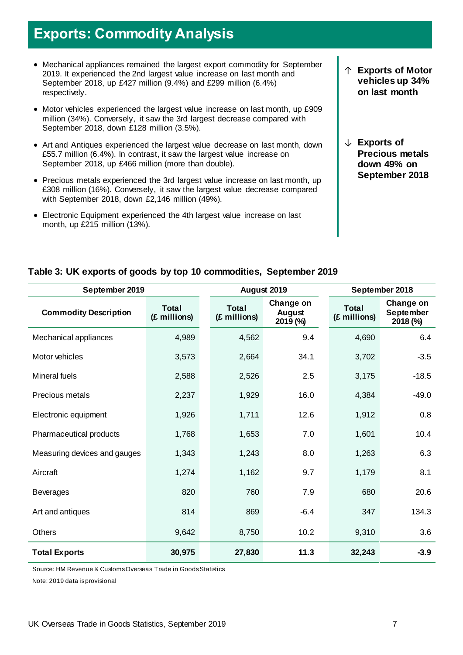# **Exports: Commodity Analysis**

- Mechanical appliances remained the largest export commodity for September 2019. It experienced the 2nd largest value increase on last month and September 2018, up £427 million (9.4%) and £299 million (6.4%) respectively.
- Motor vehicles experienced the largest value increase on last month, up £909 million (34%). Conversely, it saw the 3rd largest decrease compared with September 2018, down £128 million (3.5%).
- Art and Antiques experienced the largest value decrease on last month, down £55.7 million (6.4%). In contrast, it saw the largest value increase on September 2018, up £466 million (more than double).
- Precious metals experienced the 3rd largest value increase on last month, up £308 million (16%). Conversely, it saw the largest value decrease compared with September 2018, down £2,146 million (49%).
- Electronic Equipment experienced the 4th largest value increase on last month, up £215 million (13%).
- ↑ **Exports of Motor vehicles up 34% on last month**
- ↓ **Exports of Precious metals down 49% on September 2018**

### **Table 3: UK exports of goods by top 10 commodities, September 2019**

| September 2019               |                              |                              | August 2019                     | September 2018               |                                           |  |
|------------------------------|------------------------------|------------------------------|---------------------------------|------------------------------|-------------------------------------------|--|
| <b>Commodity Description</b> | <b>Total</b><br>(£ millions) | <b>Total</b><br>(£ millions) | Change on<br>August<br>2019 (%) | <b>Total</b><br>(£ millions) | Change on<br><b>September</b><br>2018 (%) |  |
| Mechanical appliances        | 4,989                        | 4,562                        | 9.4                             | 4,690                        | 6.4                                       |  |
| Motor vehicles               | 3,573                        | 2,664                        | 34.1                            | 3,702                        | $-3.5$                                    |  |
| Mineral fuels                | 2,588                        | 2,526                        | 2.5                             | 3,175                        | $-18.5$                                   |  |
| Precious metals              | 2,237                        | 1,929                        | 16.0                            | 4,384                        | $-49.0$                                   |  |
| Electronic equipment         | 1,926                        | 1,711                        | 12.6                            | 1,912                        | 0.8                                       |  |
| Pharmaceutical products      | 1,768                        | 1,653                        | 7.0                             | 1,601                        | 10.4                                      |  |
| Measuring devices and gauges | 1,343                        | 1,243                        | 8.0                             | 1,263                        | 6.3                                       |  |
| Aircraft                     | 1,274                        | 1,162                        | 9.7                             | 1,179                        | 8.1                                       |  |
| <b>Beverages</b>             | 820                          | 760                          | 7.9                             | 680                          | 20.6                                      |  |
| Art and antiques             | 814                          | 869                          | $-6.4$                          | 347                          | 134.3                                     |  |
| <b>Others</b>                | 9,642                        | 8,750                        | 10.2                            | 9,310                        | 3.6                                       |  |
| <b>Total Exports</b>         | 30,975                       | 27,830                       | 11.3                            | 32,243                       | $-3.9$                                    |  |

Source: HM Revenue & Customs Overseas Trade in Goods Statistics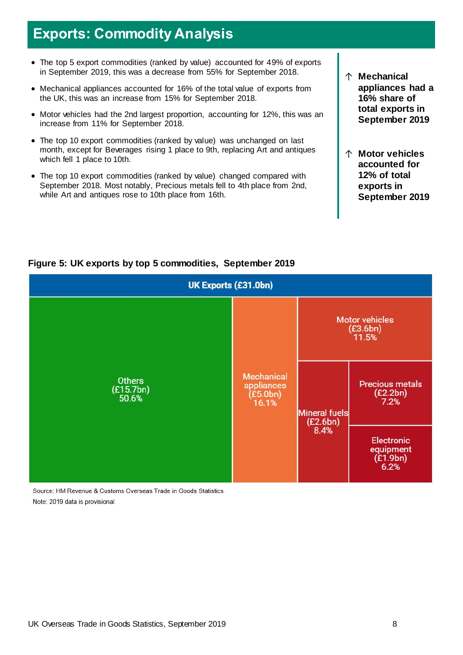### **Exports: Commodity Analysis**

- The top 5 export commodities (ranked by value) accounted for 49% of exports in September 2019, this was a decrease from 55% for September 2018.
- Mechanical appliances accounted for 16% of the total value of exports from the UK, this was an increase from 15% for September 2018.
- Motor vehicles had the 2nd largest proportion, accounting for 12%, this was an increase from 11% for September 2018.
- The top 10 export commodities (ranked by value) was unchanged on last month, except for Beverages rising 1 place to 9th, replacing Art and antiques which fell 1 place to 10th.
- The top 10 export commodities (ranked by value) changed compared with September 2018. Most notably, Precious metals fell to 4th place from 2nd, while Art and antiques rose to 10th place from 16th.
- ↑ **Mechanical appliances had a 16% share of total exports in September 2019**
- ↑ **Motor vehicles accounted for 12% of total exports in September 2019**



### **Figure 5: UK exports by top 5 commodities, September 2019**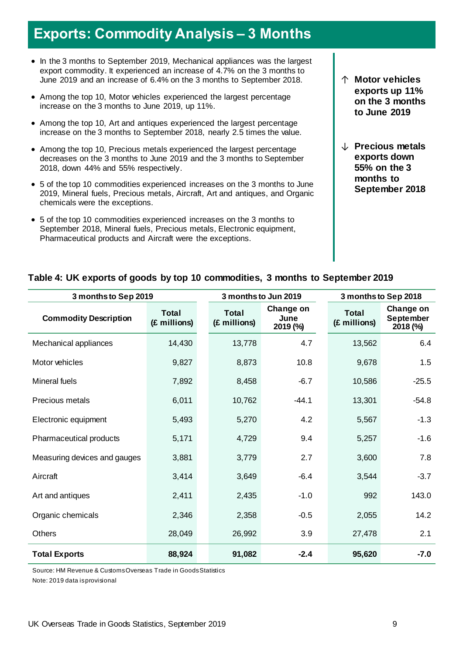# **Exports: Commodity Analysis – 3 Months**

- In the 3 months to September 2019, Mechanical appliances was the largest export commodity. It experienced an increase of 4.7% on the 3 months to June 2019 and an increase of 6.4% on the 3 months to September 2018.
- Among the top 10, Motor vehicles experienced the largest percentage increase on the 3 months to June 2019, up 11%.
- Among the top 10, Art and antiques experienced the largest percentage increase on the 3 months to September 2018, nearly 2.5 times the value.
- Among the top 10, Precious metals experienced the largest percentage decreases on the 3 months to June 2019 and the 3 months to September 2018, down 44% and 55% respectively.
- 5 of the top 10 commodities experienced increases on the 3 months to June 2019, Mineral fuels, Precious metals, Aircraft, Art and antiques, and Organic chemicals were the exceptions.
- 5 of the top 10 commodities experienced increases on the 3 months to September 2018, Mineral fuels, Precious metals, Electronic equipment, Pharmaceutical products and Aircraft were the exceptions.
- ↑ **Motor vehicles exports up 11% on the 3 months to June 2019**
- ↓ **Precious metals exports down 55% on the 3 months to September 2018**

#### **Table 4: UK exports of goods by top 10 commodities, 3 months to September 2019**

| 3 months to Sep 2019         |                              |                              | 3 months to Jun 2019          | 3 monthsto Sep 2018          |                                           |  |
|------------------------------|------------------------------|------------------------------|-------------------------------|------------------------------|-------------------------------------------|--|
| <b>Commodity Description</b> | <b>Total</b><br>(£ millions) | <b>Total</b><br>(£ millions) | Change on<br>June<br>2019 (%) | <b>Total</b><br>(£ millions) | Change on<br><b>September</b><br>2018 (%) |  |
| Mechanical appliances        | 14,430                       | 13,778                       | 4.7                           | 13,562                       | 6.4                                       |  |
| Motor vehicles               | 9,827                        | 8,873                        | 10.8                          | 9,678                        | 1.5                                       |  |
| Mineral fuels                | 7,892                        | 8,458                        | $-6.7$                        | 10,586                       | $-25.5$                                   |  |
| Precious metals              | 6,011                        | 10,762                       | $-44.1$                       | 13,301                       | $-54.8$                                   |  |
| Electronic equipment         | 5,493                        | 5,270                        | 4.2                           | 5,567                        | $-1.3$                                    |  |
| Pharmaceutical products      | 5,171                        | 4,729                        | 9.4                           | 5,257                        | $-1.6$                                    |  |
| Measuring devices and gauges | 3,881                        | 3,779                        | 2.7                           | 3,600                        | 7.8                                       |  |
| Aircraft                     | 3,414                        | 3,649                        | $-6.4$                        | 3,544                        | $-3.7$                                    |  |
| Art and antiques             | 2,411                        | 2,435                        | $-1.0$                        | 992                          | 143.0                                     |  |
| Organic chemicals            | 2,346                        | 2,358                        | $-0.5$                        | 2,055                        | 14.2                                      |  |
| <b>Others</b>                | 28,049                       | 26,992                       | 3.9                           | 27,478                       | 2.1                                       |  |
| <b>Total Exports</b>         | 88,924                       | 91,082                       | $-2.4$                        | 95,620                       | $-7.0$                                    |  |

Source: HM Revenue & Customs Overseas Trade in Goods Statistics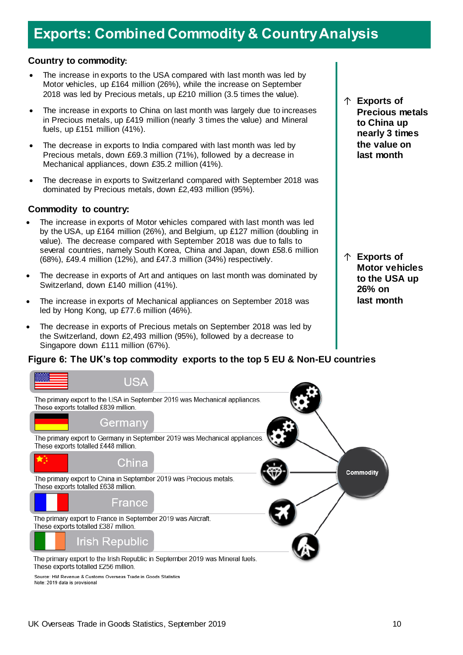# **Exports: Combined Commodity & Country Analysis**

#### **Country to commodity:**

- The increase in exports to the USA compared with last month was led by Motor vehicles, up £164 million (26%), while the increase on September 2018 was led by Precious metals, up £210 million (3.5 times the value).
- The increase in exports to China on last month was largely due to increases in Precious metals, up £419 million (nearly 3 times the value) and Mineral fuels, up £151 million (41%).
- The decrease in exports to India compared with last month was led by Precious metals, down £69.3 million (71%), followed by a decrease in Mechanical appliances, down £35.2 million (41%).
- The decrease in exports to Switzerland compared with September 2018 was dominated by Precious metals, down £2,493 million (95%).

#### **Commodity to country:**

- The increase in exports of Motor vehicles compared with last month was led by the USA, up £164 million (26%), and Belgium, up £127 million (doubling in value). The decrease compared with September 2018 was due to falls to several countries, namely South Korea, China and Japan, down £58.6 million (68%), £49.4 million (12%), and £47.3 million (34%) respectively.
- The decrease in exports of Art and antiques on last month was dominated by Switzerland, down £140 million (41%).
- The increase in exports of Mechanical appliances on September 2018 was led by Hong Kong, up £77.6 million (46%).
- The decrease in exports of Precious metals on September 2018 was led by the Switzerland, down £2,493 million (95%), followed by a decrease to Singapore down £111 million (67%).

#### **Figure 6: The UK's top commodity exports to the top 5 EU & Non-EU countries**



Source: HM Revenue & Customs Overseas Trade in Goods Statistics Note: 2019 data is provisional

↑ **Exports of Precious metals to China up nearly 3 times the value on last month**

↑ **Exports of Motor vehicles to the USA up 26% on last month**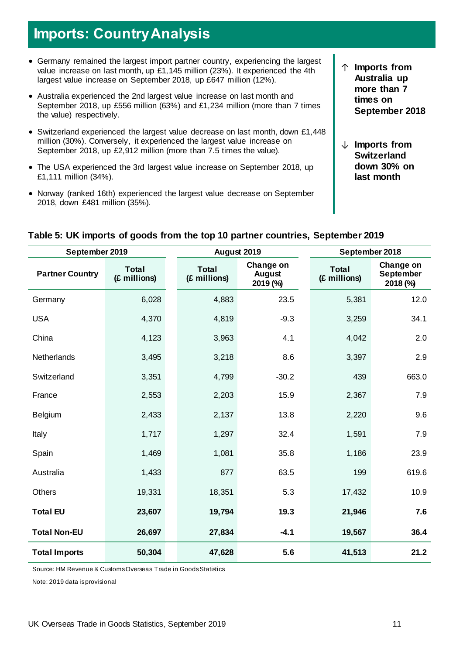# **Imports: Country Analysis**

- Germany remained the largest import partner country, experiencing the largest value increase on last month, up £1,145 million (23%). It experienced the 4th largest value increase on September 2018, up £647 million (12%).
- Australia experienced the 2nd largest value increase on last month and September 2018, up £556 million (63%) and £1,234 million (more than 7 times the value) respectively.
- Switzerland experienced the largest value decrease on last month, down £1,448 million (30%). Conversely, it experienced the largest value increase on September 2018, up £2,912 million (more than 7.5 times the value).
- The USA experienced the 3rd largest value increase on September 2018, up £1,111 million (34%).
- Norway (ranked 16th) experienced the largest value decrease on September 2018, down £481 million (35%).
- ↑ **Imports from Australia up more than 7 times on September 2018**
- ↓ **Imports from Switzerland down 30% on last month**

| September 2019         |                              |  |                              | August 2019                            | September 2018               |                                           |  |
|------------------------|------------------------------|--|------------------------------|----------------------------------------|------------------------------|-------------------------------------------|--|
| <b>Partner Country</b> | <b>Total</b><br>(£ millions) |  | <b>Total</b><br>(£ millions) | Change on<br><b>August</b><br>2019 (%) | <b>Total</b><br>(£ millions) | Change on<br><b>September</b><br>2018 (%) |  |
| Germany                | 6,028                        |  | 4,883                        | 23.5                                   | 5,381                        | 12.0                                      |  |
| <b>USA</b>             | 4,370                        |  | 4,819                        | $-9.3$                                 | 3,259                        | 34.1                                      |  |
| China                  | 4,123                        |  | 3,963                        | 4.1                                    | 4,042                        | 2.0                                       |  |
| <b>Netherlands</b>     | 3,495                        |  | 3,218                        | 8.6                                    | 3,397                        | 2.9                                       |  |
| Switzerland            | 3,351                        |  | 4,799                        | $-30.2$                                | 439                          | 663.0                                     |  |
| France                 | 2,553                        |  | 2,203                        | 15.9                                   | 2,367                        | 7.9                                       |  |
| Belgium                | 2,433                        |  | 2,137                        | 13.8                                   | 2,220                        | 9.6                                       |  |
| Italy                  | 1,717                        |  | 1,297                        | 32.4                                   | 1,591                        | 7.9                                       |  |
| Spain                  | 1,469                        |  | 1,081                        | 35.8                                   | 1,186                        | 23.9                                      |  |
| Australia              | 1,433                        |  | 877                          | 63.5                                   | 199                          | 619.6                                     |  |
| <b>Others</b>          | 19,331                       |  | 18,351                       | 5.3                                    | 17,432                       | 10.9                                      |  |
| <b>Total EU</b>        | 23,607                       |  | 19,794                       | 19.3                                   | 21,946                       | 7.6                                       |  |
| <b>Total Non-EU</b>    | 26,697                       |  | 27,834                       | $-4.1$                                 | 19,567                       | 36.4                                      |  |
| <b>Total Imports</b>   | 50,304                       |  | 47,628                       | 5.6                                    | 41,513                       | 21.2                                      |  |

#### **Table 5: UK imports of goods from the top 10 partner countries, September 2019**

Source: HM Revenue & Customs Overseas Trade in Goods Statistics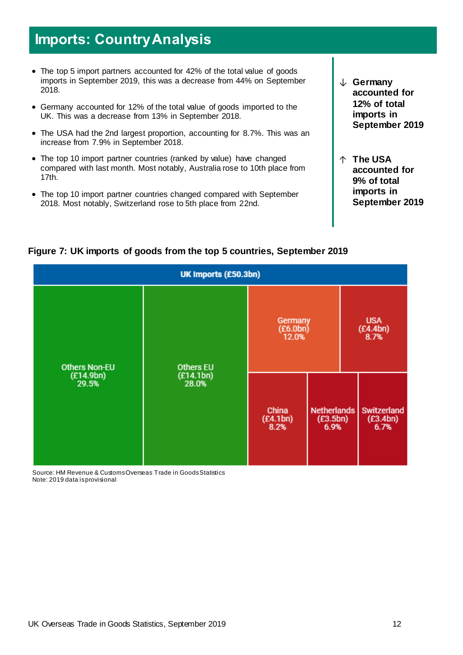### **Imports: Country Analysis**

- The top 5 import partners accounted for 42% of the total value of goods imports in September 2019, this was a decrease from 44% on September 2018.
- Germany accounted for 12% of the total value of goods imported to the UK. This was a decrease from 13% in September 2018.
- The USA had the 2nd largest proportion, accounting for 8.7%. This was an increase from 7.9% in September 2018.
- The top 10 import partner countries (ranked by value) have changed compared with last month. Most notably, Australia rose to 10th place from 17th.
- The top 10 import partner countries changed compared with September 2018. Most notably, Switzerland rose to 5th place from 22nd.
- ↓ **Germany accounted for 12% of total imports in September 2019**
- ↑ **The USA accounted for 9% of total imports in September 2019**

| UK Imports (£50.3bn)                       |                    |                              |                                        |  |                                        |  |  |
|--------------------------------------------|--------------------|------------------------------|----------------------------------------|--|----------------------------------------|--|--|
| <b>Others Non-EU</b><br>(E14.9bn)<br>29.5% | <b>Others EU</b>   | Germany<br>(E6.0bn)<br>12.0% | <b>USA</b><br>(E4.4bn)<br>8.7%         |  |                                        |  |  |
|                                            | (E14.1bn)<br>28.0% | China<br>(E4.1bn)<br>8.2%    | <b>Netherlands</b><br>(E3.5bn)<br>6.9% |  | <b>Switzerland</b><br>(E3.4bn)<br>6.7% |  |  |

### **Figure 7: UK imports of goods from the top 5 countries, September 2019**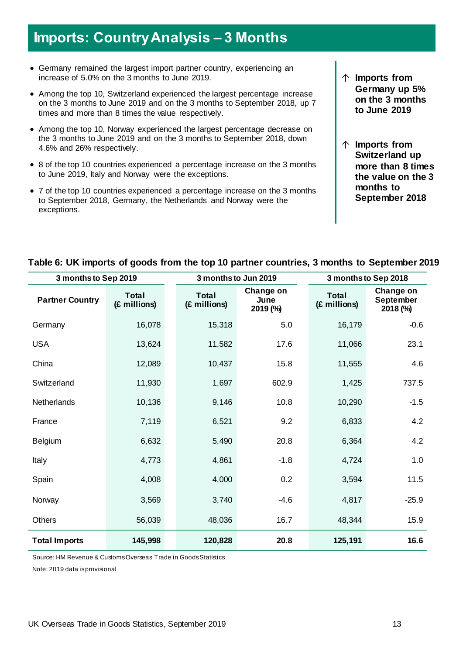# **Imports: Country Analysis – 3 Months**

- Germany remained the largest import partner country, experiencing an increase of 5.0% on the 3 months to June 2019.
- Among the top 10, Switzerland experienced the largest percentage increase on the 3 months to June 2019 and on the 3 months to September 2018, up 7 times and more than 8 times the value respectively.
- Among the top 10, Norway experienced the largest percentage decrease on the 3 months to June 2019 and on the 3 months to September 2018, down 4.6% and 26% respectively.
- 8 of the top 10 countries experienced a percentage increase on the 3 months to June 2019, Italy and Norway were the exceptions.
- 7 of the top 10 countries experienced a percentage increase on the 3 months to September 2018, Germany, the Netherlands and Norway were the exceptions.
- ↑ **Imports from Germany up 5% on the 3 months to June 2019**
- ↑ **Imports from Switzerland up more than 8 times the value on the 3 months to September 2018**

| 3 months to Sep 2019   |                              |  | 3 months to Jun 2019         |                               | 3 months to Sep 2018         |                                           |  |
|------------------------|------------------------------|--|------------------------------|-------------------------------|------------------------------|-------------------------------------------|--|
| <b>Partner Country</b> | <b>Total</b><br>(£ millions) |  | <b>Total</b><br>(£ millions) | Change on<br>June<br>2019 (%) | <b>Total</b><br>(£ millions) | Change on<br><b>September</b><br>2018 (%) |  |
| Germany                | 16,078                       |  | 15,318                       | 5.0                           | 16,179                       | $-0.6$                                    |  |
| <b>USA</b>             | 13,624                       |  | 11,582                       | 17.6                          | 11,066                       | 23.1                                      |  |
| China                  | 12,089                       |  | 10,437                       | 15.8                          | 11,555                       | 4.6                                       |  |
| Switzerland            | 11,930                       |  | 1,697                        | 602.9                         | 1,425                        | 737.5                                     |  |
| Netherlands            | 10,136                       |  | 9,146                        | 10.8                          | 10,290                       | $-1.5$                                    |  |
| France                 | 7,119                        |  | 6,521                        | 9.2                           | 6,833                        | 4.2                                       |  |
| Belgium                | 6,632                        |  | 5,490                        | 20.8                          | 6,364                        | 4.2                                       |  |
| Italy                  | 4,773                        |  | 4,861                        | $-1.8$                        | 4,724                        | 1.0                                       |  |
| Spain                  | 4,008                        |  | 4,000                        | 0.2                           | 3,594                        | 11.5                                      |  |
| Norway                 | 3,569                        |  | 3,740                        | $-4.6$                        | 4,817                        | $-25.9$                                   |  |
| <b>Others</b>          | 56,039                       |  | 48,036                       | 16.7                          | 48,344                       | 15.9                                      |  |
| <b>Total Imports</b>   | 145,998                      |  | 120,828                      | 20.8                          | 125,191                      | 16.6                                      |  |

### **Table 6: UK imports of goods from the top 10 partner countries, 3 months to September 2019**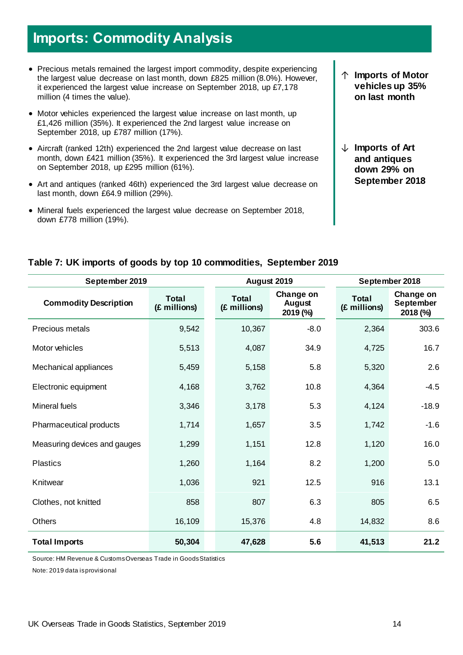# **Imports: Commodity Analysis**

- Precious metals remained the largest import commodity, despite experiencing the largest value decrease on last month, down £825 million (8.0%). However, it experienced the largest value increase on September 2018, up £7,178 million (4 times the value).
- Motor vehicles experienced the largest value increase on last month, up £1,426 million (35%). It experienced the 2nd largest value increase on September 2018, up £787 million (17%).
- Aircraft (ranked 12th) experienced the 2nd largest value decrease on last month, down £421 million (35%). It experienced the 3rd largest value increase on September 2018, up £295 million (61%).
- Art and antiques (ranked 46th) experienced the 3rd largest value decrease on last month, down £64.9 million (29%).
- Mineral fuels experienced the largest value decrease on September 2018, down £778 million (19%).
- ↑ **Imports of Motor vehicles up 35% on last month**
- ↓ **Imports of Art and antiques down 29% on September 2018**

| September 2019               |                              | August 2019                  |                                 | September 2018               |                                           |  |
|------------------------------|------------------------------|------------------------------|---------------------------------|------------------------------|-------------------------------------------|--|
| <b>Commodity Description</b> | <b>Total</b><br>(£ millions) | <b>Total</b><br>(£ millions) | Change on<br>August<br>2019 (%) | <b>Total</b><br>(£ millions) | Change on<br><b>September</b><br>2018 (%) |  |
| Precious metals              | 9,542                        | 10,367                       | $-8.0$                          | 2,364                        | 303.6                                     |  |
| Motor vehicles               | 5,513                        | 4,087                        | 34.9                            | 4,725                        | 16.7                                      |  |
| Mechanical appliances        | 5,459                        | 5,158                        | 5.8                             | 5,320                        | 2.6                                       |  |
| Electronic equipment         | 4,168                        | 3,762                        | 10.8                            | 4,364                        | $-4.5$                                    |  |
| <b>Mineral fuels</b>         | 3,346                        | 3,178                        | 5.3                             | 4,124                        | $-18.9$                                   |  |
| Pharmaceutical products      | 1,714                        | 1,657                        | 3.5                             | 1,742                        | $-1.6$                                    |  |
| Measuring devices and gauges | 1,299                        | 1,151                        | 12.8                            | 1,120                        | 16.0                                      |  |
| <b>Plastics</b>              | 1,260                        | 1,164                        | 8.2                             | 1,200                        | 5.0                                       |  |
| Knitwear                     | 1,036                        | 921                          | 12.5                            | 916                          | 13.1                                      |  |
| Clothes, not knitted         | 858                          | 807                          | 6.3                             | 805                          | 6.5                                       |  |
| <b>Others</b>                | 16,109                       | 15,376                       | 4.8                             | 14,832                       | 8.6                                       |  |
| <b>Total Imports</b>         | 50,304                       | 47,628                       | 5.6                             | 41,513                       | 21.2                                      |  |

### **Table 7: UK imports of goods by top 10 commodities, September 2019**

Source: HM Revenue & Customs Overseas Trade in Goods Statistics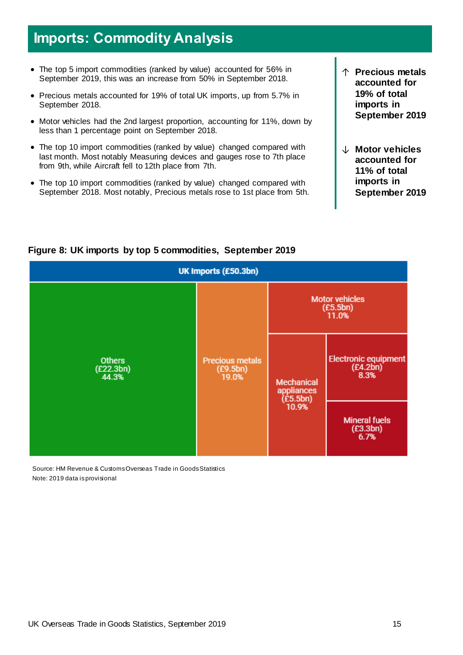# **Imports: Commodity Analysis**

- The top 5 import commodities (ranked by value) accounted for 56% in September 2019, this was an increase from 50% in September 2018.
- Precious metals accounted for 19% of total UK imports, up from 5.7% in September 2018.
- Motor vehicles had the 2nd largest proportion, accounting for 11%, down by less than 1 percentage point on September 2018.
- The top 10 import commodities (ranked by value) changed compared with last month. Most notably Measuring devices and gauges rose to 7th place from 9th, while Aircraft fell to 12th place from 7th.
- The top 10 import commodities (ranked by value) changed compared with September 2018. Most notably, Precious metals rose to 1st place from 5th.
- ↑ **Precious metals accounted for 19% of total imports in September 2019**
- ↓ **Motor vehicles accounted for 11% of total imports in September 2019**



### **Figure 8: UK imports by top 5 commodities, September 2019**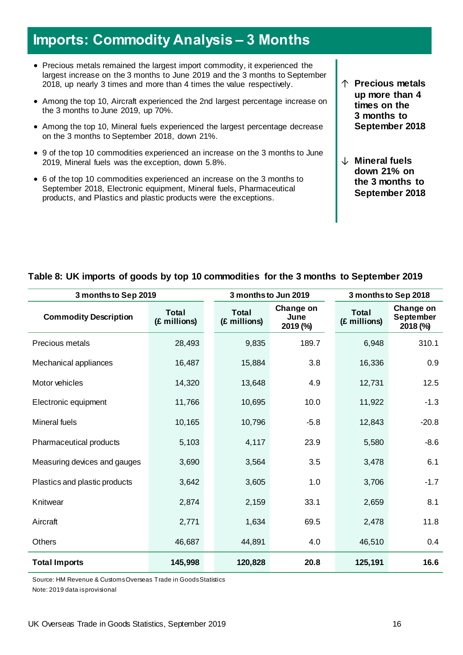# **Imports: Commodity Analysis – 3 Months**

- Precious metals remained the largest import commodity, it experienced the largest increase on the 3 months to June 2019 and the 3 months to September 2018, up nearly 3 times and more than 4 times the value respectively.
- Among the top 10, Aircraft experienced the 2nd largest percentage increase on the 3 months to June 2019, up 70%.
- Among the top 10, Mineral fuels experienced the largest percentage decrease on the 3 months to September 2018, down 21%.
- 9 of the top 10 commodities experienced an increase on the 3 months to June 2019, Mineral fuels was the exception, down 5.8%.
- 6 of the top 10 commodities experienced an increase on the 3 months to September 2018, Electronic equipment, Mineral fuels, Pharmaceutical products, and Plastics and plastic products were the exceptions.
- ↑ **Precious metals up more than 4 times on the 3 months to September 2018**
- ↓ **Mineral fuels down 21% on the 3 months to September 2018**

#### **Table 8: UK imports of goods by top 10 commodities for the 3 months to September 2019**

| 3 months to Sep 2019          |                              |                              | 3 months to Jun 2019          | 3 months to Sep 2018         |                                           |  |
|-------------------------------|------------------------------|------------------------------|-------------------------------|------------------------------|-------------------------------------------|--|
| <b>Commodity Description</b>  | <b>Total</b><br>(£ millions) | <b>Total</b><br>(£ millions) | Change on<br>June<br>2019 (%) | <b>Total</b><br>(£ millions) | Change on<br><b>September</b><br>2018 (%) |  |
| Precious metals               | 28,493                       | 9,835                        | 189.7                         | 6,948                        | 310.1                                     |  |
| Mechanical appliances         | 16,487                       | 15,884                       | 3.8                           | 16,336                       | 0.9                                       |  |
| Motor vehicles                | 14,320                       | 13,648                       | 4.9                           | 12,731                       | 12.5                                      |  |
| Electronic equipment          | 11,766                       | 10,695                       | 10.0                          | 11,922                       | $-1.3$                                    |  |
| Mineral fuels                 | 10,165                       | 10,796                       | $-5.8$                        | 12,843                       | $-20.8$                                   |  |
| Pharmaceutical products       | 5,103                        | 4,117                        | 23.9                          | 5,580                        | $-8.6$                                    |  |
| Measuring devices and gauges  | 3,690                        | 3,564                        | 3.5                           | 3,478                        | 6.1                                       |  |
| Plastics and plastic products | 3,642                        | 3,605                        | 1.0                           | 3,706                        | $-1.7$                                    |  |
| Knitwear                      | 2,874                        | 2,159                        | 33.1                          | 2,659                        | 8.1                                       |  |
| Aircraft                      | 2,771                        | 1,634                        | 69.5                          | 2,478                        | 11.8                                      |  |
| Others                        | 46,687                       | 44,891                       | 4.0                           | 46,510                       | 0.4                                       |  |
| <b>Total Imports</b>          | 145,998                      | 120,828                      | 20.8                          | 125,191                      | 16.6                                      |  |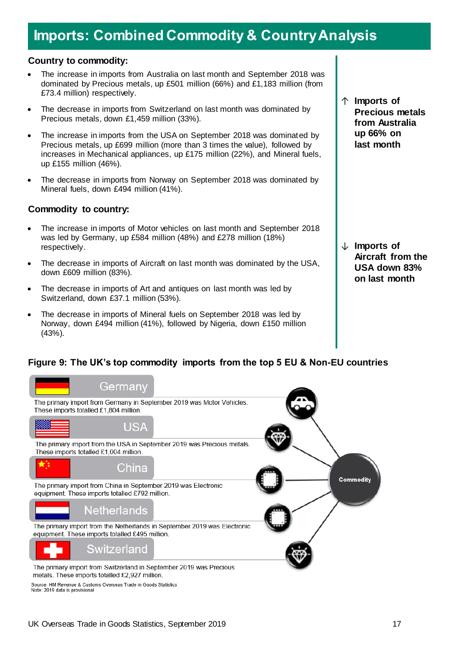# **Imports: Combined Commodity & Country Analysis**

#### **Country to commodity:**

- The increase in imports from Australia on last month and September 2018 was dominated by Precious metals, up £501 million (66%) and £1,183 million (from £73.4 million) respectively.
- The decrease in imports from Switzerland on last month was dominated by Precious metals, down £1,459 million (33%).
- The increase in imports from the USA on September 2018 was dominated by Precious metals, up £699 million (more than 3 times the value), followed by increases in Mechanical appliances, up £175 million (22%), and Mineral fuels, up £155 million (46%).
- The decrease in imports from Norway on September 2018 was dominated by Mineral fuels, down £494 million (41%).

#### **Commodity to country:**

- The increase in imports of Motor vehicles on last month and September 2018 was led by Germany, up £584 million (48%) and £278 million (18%) respectively.
- The decrease in imports of Aircraft on last month was dominated by the USA, down £609 million (83%).
- The decrease in imports of Art and antiques on last month was led by Switzerland, down £37.1 million (53%).
- The decrease in imports of Mineral fuels on September 2018 was led by Norway, down £494 million (41%), followed by Nigeria, down £150 million (43%).

↑ **Imports of Precious metals from Australia up 66% on last month**

↓ **Imports of Aircraft from the USA down 83% on last month**

### **Figure 9: The UK's top commodity imports from the top 5 EU & Non-EU countries**

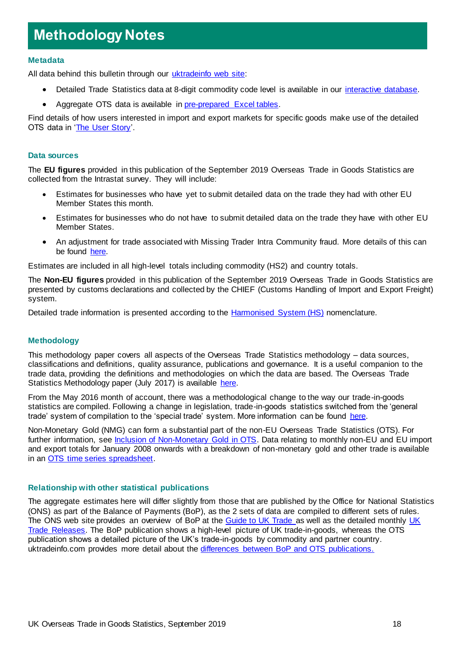# **Methodology Notes**

#### **Metadata**

All data behind this bulletin through our [uktradeinfo web site:](https://www.uktradeinfo.com/Pages/Home.aspx)

- Detailed Trade Statistics data at 8-digit commodity code level is available in our [interactive database.](https://www.uktradeinfo.com/Statistics/BuildYourOwnTables/Pages/Home.aspx)
- Aggregate OTS data is available in [pre-prepared Excel tables.](https://www.uktradeinfo.com/Statistics/Pages/Monthly-Tables.aspx)

Find details of how users interested in import and export markets for specific goods make use of the detailed OTS data in ['The User Story'](https://www.uktradeinfo.com/Statistics/OverseasTradeStatistics/AboutOverseastradeStatistics/User%20support/User_Story.pps).

#### **Data sources**

The **EU figures** provided in this publication of the September 2019 Overseas Trade in Goods Statistics are collected from the Intrastat survey. They will include:

- Estimates for businesses who have yet to submit detailed data on the trade they had with other EU Member States this month.
- Estimates for businesses who do not have to submit detailed data on the trade they have with other EU Member States.
- An adjustment for trade associated with Missing Trader Intra Community fraud. More details of this can be found [here.](https://www.uktradeinfo.com/statistics/noneuoverseastrade/aboutoverseastradestatistics/user%20support/oecd_mtic06.pdf)

Estimates are included in all high-level totals including commodity (HS2) and country totals.

The **Non-EU figures** provided in this publication of the September 2019 Overseas Trade in Goods Statistics are presented by customs declarations and collected by the CHIEF (Customs Handling of Import and Export Freight) system.

Detailed trade information is presented according to the [Harmonised System \(HS\)](https://www.uktradeinfo.com/CodesAndGuides/GoodClassificationSystems/Pages/AboutHS.aspx) nomenclature.

#### **Methodology**

This methodology paper covers all aspects of the Overseas Trade Statistics methodology – data sources, classifications and definitions, quality assurance, publications and governance. It is a useful companion to the trade data, providing the definitions and methodologies on which the data are based. The Overseas Trade Statistics Methodology paper (July 2017) is available [here.](https://www.uktradeinfo.com/Statistics/OverseasTradeStatistics/AboutOverseastradeStatistics/Documents/OTSMethodology_paper.pdf)

From the May 2016 month of account, there was a methodological change to the way our trade-in-goods statistics are compiled. Following a change in legislation, trade-in-goods statistics switched from the 'general trade' system of compilation to the 'special trade' system. More information can be found [here.](https://www.uktradeinfo.com/AboutUs/Pages/News.aspx?ItemID=98ef5601-802a-4e5c-9ac2-eb574d7c506b)

Non-Monetary Gold (NMG) can form a substantial part of the non-EU Overseas Trade Statistics (OTS). For further information, see [Inclusion of Non-Monetary Gold in OTS.](https://www.uktradeinfo.com/Statistics/OverseasTradeStatistics/AboutOverseastradeStatistics/Pages/PoliciesandMethodologies.aspx) Data relating to monthly non-EU and EU import and export totals for January 2008 onwards with a breakdown of non-monetary gold and other trade is available in an [OTS time series spreadsheet.](https://www.uktradeinfo.com/Statistics/OverseasTradeStatistics/Documents/Gold_0919.xls)

#### **Relationship with other statistical publications**

The aggregate estimates here will differ slightly from those that are published by the Office for National Statistics (ONS) as part of the Balance of Payments (BoP), as the 2 sets of data are compiled to different sets of rules. The ONS web site provides an overview of BoP at the [Guide to UK Trade a](http://www.ons.gov.uk/ons/rel/uktrade/uk-trade/july-2011/guide-to-uk-trade.html)s well as the detailed monthly UK [Trade Releases.](http://www.ons.gov.uk/ons/publications/all-releases.html?definition=tcm%3A77-21861) The BoP publication shows a high-level picture of UK trade-in-goods, whereas the OTS publication shows a detailed picture of the UK's trade-in-goods by commodity and partner country. uktradeinfo.com provides more detail about the [differences between BoP and OTS publications.](https://www.uktradeinfo.com/Statistics/Pages/Related-Data.aspx)